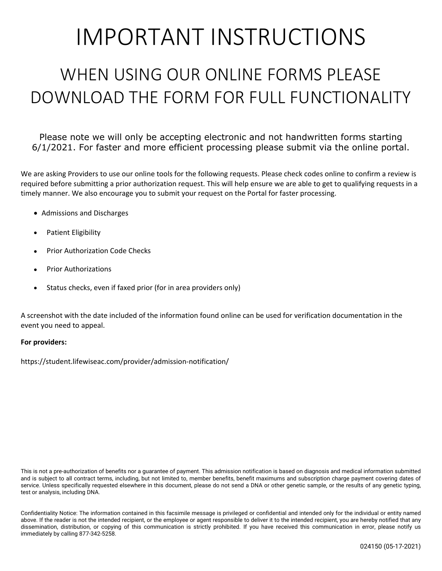# IMPORTANT INSTRUCTIONS

## WHEN USING OUR ONLINE FORMS PLEASE DOWNLOAD THE FORM FOR FULL FUNCTIONALITY

Please note we will only be accepting electronic and not handwritten forms starting 6/1/2021. For faster and more efficient processing please submit via the online portal.

We are asking Providers to use our online tools for the following requests. Please check codes online to confirm a review is required before submitting a prior authorization request. This will help ensure we are able to get to qualifying requests in a timely manner. We also encourage you to submit your request on the Portal for faster processing.

- Admissions and Discharges
- Patient Eligibility
- Prior Authorization Code Checks
- Prior Authorizations
- Status checks, even if faxed prior (for in area providers only)

A screenshot with the date included of the information found online can be used for verification documentation in the event you need to appeal.

#### **For providers:**

<https://student.lifewiseac.com/provider/admission-notification/>

This is not a pre-authorization of benefits nor a guarantee of payment. This admission notification is based on diagnosis and medical information submitted and is subject to all contract terms, including, but not limited to, member benefits, benefit maximums and subscription charge payment covering dates of service. Unless specifically requested elsewhere in this document, please do not send a DNA or other genetic sample, or the results of any genetic typing, test or analysis, including DNA.

Confidentiality Notice: The information contained in this facsimile message is privileged or confidential and intended only for the individual or entity named above. If the reader is not the intended recipient, or the employee or agent responsible to deliver it to the intended recipient, you are hereby notified that any dissemination, distribution, or copying of this communication is strictly prohibited. If you have received this communication in error, please notify us immediately by calling 877-342-5258.